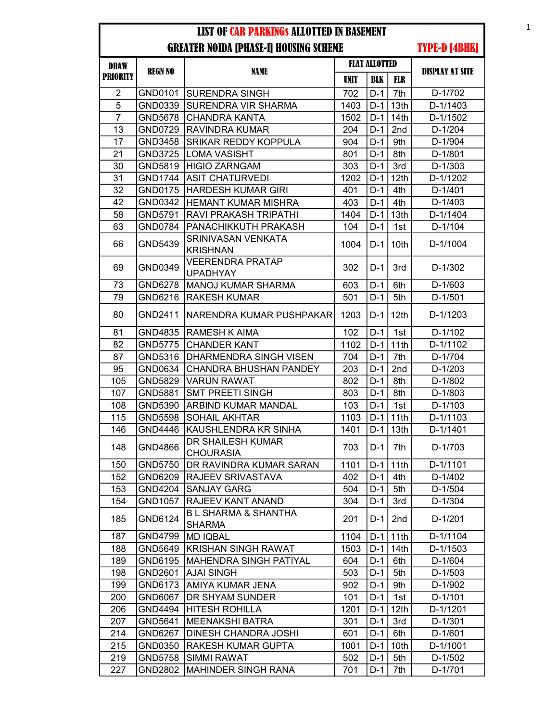| <b>DRAW</b>     |                |                                                 |               |            | <b>FLAT ALLOTTED</b> |                        |
|-----------------|----------------|-------------------------------------------------|---------------|------------|----------------------|------------------------|
| <b>PRIORITY</b> | <b>REGN NO</b> | <b>NAME</b>                                     | <b>UNIT</b>   | <b>BLK</b> | FLR                  | <b>DISPLAY AT SITE</b> |
| $\overline{2}$  | GND0101        | <b>SURENDRA SINGH</b>                           | 702           | $D-1$      | 7th                  | D-1/702                |
| 5               | GND0339        | SURENDRA VIR SHARMA                             | 1403          | $D-1$      | 13th                 | D-1/1403               |
| 7               | GND5678        | <b>CHANDRA KANTA</b>                            | 1502          | D-1        | 14 <sup>th</sup>     | D-1/1502               |
| 13              | GND0729        | RAVINDRA KUMAR                                  | 204           | $D-1$      | 2nd                  | $D-1/204$              |
| 17              | GND3458        | SRIKAR REDDY KOPPULA                            | 904           | $D-1$      | 9th                  | D-1/904                |
| 21              | <b>GND3725</b> | <b>LOMA VASISHT</b>                             | 801           | D-1        | 8th                  | $D-1/801$              |
| 30              | GND5819        | <b>HIGIO ZARNGAM</b>                            | 303           | $D-1$      | 3rd                  | $D-1/303$              |
| 31              | <b>GND1744</b> | <b>ASIT CHATURVEDI</b>                          | 1202          | $D-1$      | 12th                 | D-1/1202               |
| 32              | GND0175        | <b>HARDESH KUMAR GIRI</b>                       | 401           | $D-1$      | 4th                  | $D-1/401$              |
| 42              | GND0342        | <b>HEMANT KUMAR MISHRA</b>                      | 403           | $D-1$      | 4th                  | $D-1/403$              |
| 58              | GND5791        | RAVI PRAKASH TRIPATHI                           | 1404          | $D-1$      | 13th                 | D-1/1404               |
| 63              | GND0784        | PANACHIKKUTH PRAKASH                            | 104           | D-1        | 1st                  | D-1/104                |
| 66              | GND5439        | SRINIVASAN VENKATA<br><b>KRISHNAN</b>           | 1004          | $D-1$      | 10th                 | D-1/1004               |
| 69              | GND0349        | <b>VEERENDRA PRATAP</b><br><b>UPADHYAY</b>      | 302           | D-1        | 3rd                  | D-1/302                |
| 73              | GND6278        | <b>MANOJ KUMAR SHARMA</b>                       | 603           | $D-1$      | 6th                  | $D-1/603$              |
| 79              | GND6216        | <b>RAKESH KUMAR</b>                             | 501           | $D-1$      | 5th                  | $D-1/501$              |
| 80              | GND2411        | NARENDRA KUMAR PUSHPAKAR                        | 1203          | D-1        | 12th                 | D-1/1203               |
| 81              | GND4835        | <b>RAMESH K AIMA</b>                            | 102           | $D-1$      | 1st                  | $D-1/102$              |
| 82              | <b>GND5775</b> | <b>CHANDER KANT</b>                             | 1102          | $D-1$      | 11th                 | D-1/1102               |
| 87              | GND5316        | DHARMENDRA SINGH VISEN                          | 704           | D-1        | 7th                  | D-1/704                |
| 95              | GND0634        | CHANDRA BHUSHAN PANDEY                          | 203           | $D-1$      | 2nd                  | $D-1/203$              |
| 105             | GND5829        | <b>VARUN RAWAT</b>                              | 802           | $D-1$      | 8th                  | D-1/802                |
| 107             | GND5881        | <b>SMT PREETI SINGH</b>                         | 803           | $D-1$      | 8th                  | D-1/803                |
| 108             | GND5390        | ARBIND KUMAR MANDAL                             | 103           | $D-1$      | 1st                  | D-1/103                |
| 115             | <b>GND5598</b> | <b>SOHAIL AKHTAR</b>                            | 1103          | $D-1$      | 11th                 | D-1/1103               |
| 146             | GND4446        | KAUSHLENDRA KR SINHA                            | 1401          | D-1        | 13 <sub>th</sub>     | D-1/1401               |
| 148             | GND4866        | DR SHAILESH KUMAR<br><b>CHOURASIA</b>           | 703           | $D-1$      | 7th                  | D-1/703                |
| 150             | <b>GND5750</b> | DR RAVINDRA KUMAR SARAN                         | 1101 D-1 11th |            |                      | D-1/1101               |
| 152             | GND6209        | <b>RAJEEV SRIVASTAVA</b>                        | 402           | $D-1$      | 4th                  | D-1/402                |
| 153             | GND4204        | <b>SANJAY GARG</b>                              | 504           | $D-1$      | 5th                  | D-1/504                |
| 154             | GND1057        | RAJEEV KANT ANAND                               | 304           | $D-1$      | 3rd                  | D-1/304                |
| 185             | GND6124        | <b>BL SHARMA &amp; SHANTHA</b><br><b>SHARMA</b> | 201           | D-1        | 2nd                  | D-1/201                |
| 187             | GND4799        | <b>MD IQBAL</b>                                 | 1104          | D-1        | 11th                 | D-1/1104               |
| 188             | GND5649        | KRISHAN SINGH RAWAT                             | 1503          | $D-1$      | 14th                 | D-1/1503               |
| 189             | GND6195        | <b>MAHENDRA SINGH PATIYAL</b>                   | 604           | D-1        | 6th                  | D-1/604                |
| 198             | GND2601        | <b>AJAI SINGH</b>                               | 503           | $D-1$      | 5th                  | $D-1/503$              |
| 199             | GND6173        | AMIYA KUMAR JENA                                | 902           | $D-1$      | 9th                  | D-1/902                |
| 200             | GND6067        | DR SHYAM SUNDER                                 | 101           | $D-1$      | 1st                  | $D-1/101$              |
| 206             | GND4494        | HITESH ROHILLA                                  | 1201          | $D-1$      | 12 <sub>th</sub>     | D-1/1201               |
| 207             | GND5641        | <b>MEENAKSHI BATRA</b>                          | 301           | $D-1$      | 3rd                  | $D-1/301$              |
| 214             | GND6267        | <b>DINESH CHANDRA JOSHI</b>                     | 601           | $D-1$      | 6th                  | D-1/601                |
| 215             | GND0350        | <b>RAKESH KUMAR GUPTA</b>                       | 1001          | D-1        | 10th                 | D-1/1001               |
| 219             | GND5758        | <b>SIMMI RAWAT</b>                              | 502           | D-1        | 5th                  | D-1/502                |
| 227             | GND2802        | MAHINDER SINGH RANA                             | 701           | $D-1$      | 7th                  | D-1/701                |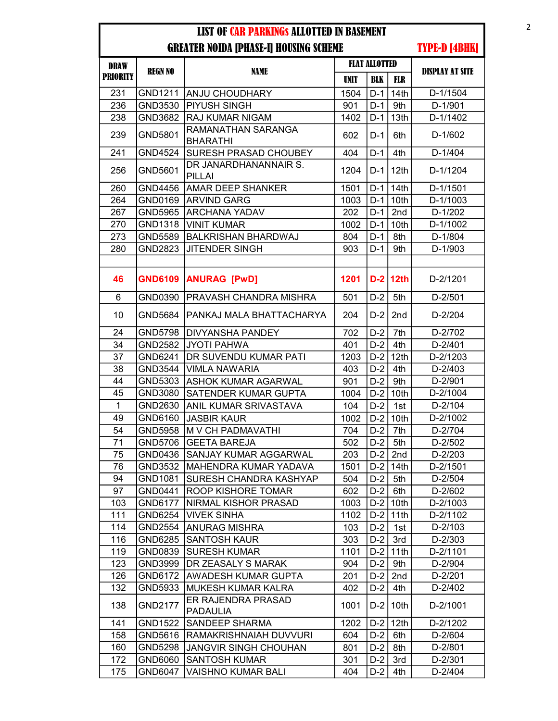| <b>DRAW</b>     |                |                                        | <b>FLAT ALLOTTED</b> |            |                  |                        |
|-----------------|----------------|----------------------------------------|----------------------|------------|------------------|------------------------|
| <b>PRIORITY</b> | <b>REGN NO</b> | <b>NAME</b>                            | <b>UNIT</b>          | <b>BLK</b> | <b>FLR</b>       | <b>DISPLAY AT SITE</b> |
| 231             | GND1211        | <b>ANJU CHOUDHARY</b>                  | 1504                 | $D-1$      | 14th             | D-1/1504               |
| 236             | GND3530        | <b>PIYUSH SINGH</b>                    | 901                  | $D-1$      | 9th              | D-1/901                |
| 238             | GND3682        | <b>RAJ KUMAR NIGAM</b>                 | 1402                 | $D-1$      | 13th             | D-1/1402               |
| 239             | GND5801        | RAMANATHAN SARANGA<br><b>BHARATHI</b>  | 602                  | $D-1$      | 6th              | D-1/602                |
| 241             | GND4524        | <b>SURESH PRASAD CHOUBEY</b>           | 404                  | $D-1$      | 4th              | D-1/404                |
| 256             | GND5601        | DR JANARDHANANNAIR S.<br><b>PILLAI</b> | 1204                 | $D-1$      | 12 <sub>th</sub> | D-1/1204               |
| 260             | GND4456        | <b>AMAR DEEP SHANKER</b>               | 1501                 | $D-1$      | 14 <sub>th</sub> | D-1/1501               |
| 264             | GND0169        | <b>ARVIND GARG</b>                     | 1003                 | $D-1$      | 10th             | D-1/1003               |
| 267             | GND5965        | <b>ARCHANA YADAV</b>                   | 202                  | $D-1$      | 2nd              | $D-1/202$              |
| 270             | GND1318        | <b>VINIT KUMAR</b>                     | 1002                 | $D-1$      | 10th             | D-1/1002               |
| 273             | GND5589        | <b>BALKRISHAN BHARDWAJ</b>             | 804                  | $D-1$      | 8th              | D-1/804                |
| 280             | GND2823        | <b>JITENDER SINGH</b>                  | 903                  | $D-1$      | 9th              | D-1/903                |
|                 |                |                                        |                      |            |                  |                        |
| 46              | <b>GND6109</b> | <b>ANURAG [PwD]</b>                    | 1201                 |            | $D-2$ 12th       | D-2/1201               |
| 6               | GND0390        | PRAVASH CHANDRA MISHRA                 | 501                  | $D-2$      | 5th              | $D-2/501$              |
| 10              | GND5684        | PANKAJ MALA BHATTACHARYA               | 204                  | $D-2$      | 2nd              | D-2/204                |
| 24              | <b>GND5798</b> | <b>DIVYANSHA PANDEY</b>                | 702                  | $D-2$      | 7th              | D-2/702                |
| 34              | GND2582        | JYOTI PAHWA                            | 401                  | $D-2$      | 4th              | D-2/401                |
| 37              | GND6241        | DR SUVENDU KUMAR PATI                  | 1203                 | $D-2$      | 12th             | D-2/1203               |
| 38              | GND3544        | <b>VIMLA NAWARIA</b>                   | 403                  | $D-2$      | 4th              | $D-2/403$              |
| 44              | GND5303        | <b>ASHOK KUMAR AGARWAL</b>             | 901                  | $D-2$      | 9th              | D-2/901                |
| 45              | GND3080        | <b>SATENDER KUMAR GUPTA</b>            | 1004                 | $D-2$      | 10th             | D-2/1004               |
| $\mathbf{1}$    | GND2630        | <b>ANIL KUMAR SRIVASTAVA</b>           | 104                  | $D-2$      | 1st              | D-2/104                |
| 49              | GND6160        | <b>JASBIR KAUR</b>                     | 1002                 | $D-2$      | 10th             | D-2/1002               |
| 54              | GND5958        | <b>M V CH PADMAVATHI</b>               | 704                  | $D-2$      | 7th              | D-2/704                |
| 71              | GND5706        | <b>GEETA BAREJA</b>                    | 502                  | $D-2$      | 5th              | D-2/502                |
| 75              | GND0436        | <b>SANJAY KUMAR AGGARWAL</b>           | 203                  | $D-2$      | 2nd              | $D-2/203$              |
| 76              | GND3532        | MAHENDRA KUMAR YADAVA                  | 1501                 |            | $D-2$ 14th       | D-2/1501               |
| 94              | GND1081        | <b>SURESH CHANDRA KASHYAP</b>          | 504                  | $D-2$      | 5th              | D-2/504                |
| 97              | GND0441        | <b>ROOP KISHORE TOMAR</b>              | 602                  | $D-2$      | 6th              | D-2/602                |
| 103             | GND6177        | NIRMAL KISHOR PRASAD                   | 1003                 | $D-2$      | 10th             | D-2/1003               |
| 111             | GND6254        | <b>VIVEK SINHA</b>                     | 1102                 | $D-2$      | 11th             | D-2/1102               |
| 114             | GND2554        | <b>ANURAG MISHRA</b>                   | 103                  | $D-2$      | 1st              | $D-2/103$              |
| 116             | GND6285        | <b>SANTOSH KAUR</b>                    | 303                  | $D-2$      | 3rd              | D-2/303                |
| 119             | GND0839        | <b>SURESH KUMAR</b>                    | 1101                 | $D-2$      | 11th             | D-2/1101               |
| 123             | GND3999        | DR ZEASALY S MARAK                     | 904                  | $D-2$      | 9th              | D-2/904                |
| 126             | GND6172        | <b>AWADESH KUMAR GUPTA</b>             | 201                  | $D-2$      | 2nd              | D-2/201                |
| 132             | GND5933        | <b>MUKESH KUMAR KALRA</b>              | 402                  | $D-2$      | 4th              | D-2/402                |
| 138             | GND2177        | ER RAJENDRA PRASAD<br><b>PADAULIA</b>  | 1001                 | $D-2$      | 10th             | D-2/1001               |
| 141             | <b>GND1522</b> | <b>SANDEEP SHARMA</b>                  | 1202                 | $D-2$      | 12 <sub>th</sub> | D-2/1202               |
| 158             | GND5616        | RAMAKRISHNAIAH DUVVURI                 | 604                  | $D-2$      | 6th              | D-2/604                |
| 160             | GND5298        | <b>JANGVIR SINGH CHOUHAN</b>           | 801                  | $D-2$      | 8th              | D-2/801                |
| 172             | GND6060        | <b>SANTOSH KUMAR</b>                   | 301                  | $D-2$      | 3rd              | D-2/301                |
| 175             | GND6047        | <b>VAISHNO KUMAR BALI</b>              | 404                  | $D-2$      | 4th              | D-2/404                |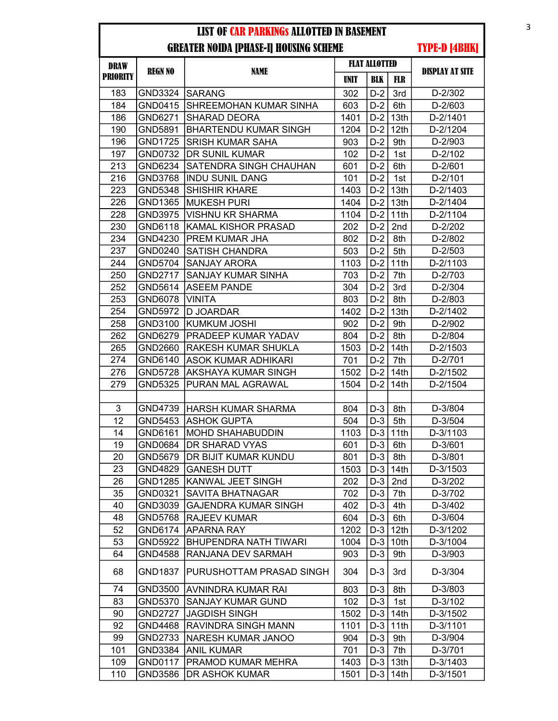| <b>DRAW</b>     |                |                              | <b>FLAT ALLOTTED</b> |            |                  |                        |
|-----------------|----------------|------------------------------|----------------------|------------|------------------|------------------------|
| <b>PRIORITY</b> | <b>REGN NO</b> | <b>NAME</b>                  | UNIT                 | <b>BLK</b> | <b>FLR</b>       | <b>DISPLAY AT SITE</b> |
| 183             | GND3324        | <b>SARANG</b>                | 302                  | $D-2$      | 3rd              | D-2/302                |
| 184             | GND0415        | SHREEMOHAN KUMAR SINHA       | 603                  | $D-2$      | 6th              | D-2/603                |
| 186             | GND6271        | <b>SHARAD DEORA</b>          | 1401                 | $D-2$      | 13th             | D-2/1401               |
| 190             | GND5891        | <b>BHARTENDU KUMAR SINGH</b> | 1204                 | $D-2$      | 12 <sup>th</sup> | D-2/1204               |
| 196             | <b>GND1725</b> | <b>SRISH KUMAR SAHA</b>      | 903                  | $D-2$      | 9th              | D-2/903                |
| 197             | GND0732        | DR SUNIL KUMAR               | 102                  | $D-2$      | 1st              | D-2/102                |
| 213             | GND6234        | SATENDRA SINGH CHAUHAN       | 601                  | $D-2$      | 6th              | $D-2/601$              |
| 216             | GND3768        | <b>INDU SUNIL DANG</b>       | 101                  | $D-2$      | 1st              | $D-2/101$              |
| 223             | GND5348        | <b>SHISHIR KHARE</b>         | 1403                 | $D-2$      | 13th             | D-2/1403               |
| 226             | GND1365        | <b>MUKESH PURI</b>           | 1404                 | $D-2$      | 13th             | D-2/1404               |
| 228             | GND3975        | <b>VISHNU KR SHARMA</b>      | 1104                 | $D-2$      | 11th             | D-2/1104               |
| 230             | GND6118        | <b>KAMAL KISHOR PRASAD</b>   | 202                  | $D-2$      | 2nd              | D-2/202                |
| 234             | GND4230        | <b>PREM KUMAR JHA</b>        | 802                  | $D-2$      | 8th              | D-2/802                |
| 237             | GND0240        | <b>SATISH CHANDRA</b>        | 503                  | $D-2$      | 5th              | $D-2/503$              |
| 244             | GND5704        | <b>SANJAY ARORA</b>          | 1103                 | $D-2$      | 11th             | D-2/1103               |
| 250             | GND2717        | SANJAY KUMAR SINHA           | 703                  | $D-2$      | 7th              | D-2/703                |
| 252             | GND5614        | <b>ASEEM PANDE</b>           | 304                  | $D-2$      | 3rd              | $D-2/304$              |
| 253             | GND6078        | <b>VINITA</b>                | 803                  | $D-2$      | 8th              | D-2/803                |
| 254             | GND5972        | <b>D JOARDAR</b>             | 1402                 | $D-2$      | 13th             | D-2/1402               |
| 258             | GND3100        | KUMKUM JOSHI                 | 902                  | $D-2$      | 9th              | D-2/902                |
| 262             | GND6279        | PRADEEP KUMAR YADAV          | 804                  | $D-2$      | 8th              | D-2/804                |
| 265             | GND2660        | <b>RAKESH KUMAR SHUKLA</b>   | 1503                 | $D-2$      | 14 <sub>th</sub> | D-2/1503               |
| 274             | GND6140        | <b>ASOK KUMAR ADHIKARI</b>   | 701                  | $D-2$      | 7th              | D-2/701                |
| 276             | <b>GND5728</b> | AKSHAYA KUMAR SINGH          | 1502                 | $D-2$      | 14th             | D-2/1502               |
| 279             | GND5325        | PURAN MAL AGRAWAL            | 1504                 | $D-2$      | 14th             | D-2/1504               |
|                 |                |                              |                      |            |                  |                        |
| 3               | GND4739        | <b>HARSH KUMAR SHARMA</b>    | 804                  | $D-3$      | 8th              | D-3/804                |
| 12              | GND5453        | <b>ASHOK GUPTA</b>           | 504                  | $D-3$      | 5th              | D-3/504                |
| 14              | GND6161        | <b>MOHD SHAHABUDDIN</b>      | 1103                 | $D-3$      | 11th             | D-3/1103               |
| 19              | GND0684        | DR SHARAD VYAS               | 601                  | $D-3$      | 6th              | D-3/601                |
| 20              | GND5679        | DR BIJIT KUMAR KUNDU         | 801                  | $D-3$      | 8th              | D-3/801                |
| 23              | GND4829        | <b>GANESH DUTT</b>           | 1503                 |            | $D-3$ 14th       | D-3/1503               |
| 26              | GND1285        | KANWAL JEET SINGH            | 202                  | $D-3$      | 2nd              | D-3/202                |
| 35              | GND0321        | <b>SAVITA BHATNAGAR</b>      | 702                  | $D-3$      | 7th              | D-3/702                |
| 40              | GND3039        | <b>GAJENDRA KUMAR SINGH</b>  | 402                  | $D-3$      | 4th              | D-3/402                |
| 48              | <b>GND5768</b> | <b>RAJEEV KUMAR</b>          | 604                  | $D-3$      | 6th              | D-3/604                |
| 52              | GND6174        | <b>APARNA RAY</b>            | 1202                 | $D-3$      | 12 <sub>th</sub> | D-3/1202               |
| 53              | GND5922        | <b>BHUPENDRA NATH TIWARI</b> | 1004                 | $D-3$      | 10th             | D-3/1004               |
| 64              | GND4588        | RANJANA DEV SARMAH           | 903                  | $D-3$      | 9th              | D-3/903                |
| 68              | <b>GND1837</b> | PURUSHOTTAM PRASAD SINGH     | 304                  | $D-3$      | 3rd              | D-3/304                |
| 74              | GND3500        | <b>AVNINDRA KUMAR RAI</b>    | 803                  | $D-3$      | 8th              | D-3/803                |
| 83              | GND5370        | <b>SANJAY KUMAR GUND</b>     | 102                  | $D-3$      | 1st              | D-3/102                |
| 90              | <b>GND2727</b> | <b>JAGDISH SINGH</b>         | 1502                 | $D-3$      | 14th             | D-3/1502               |
| 92              | GND4468        | <b>RAVINDRA SINGH MANN</b>   | 1101                 | $D-3$      | 11th             | D-3/1101               |
| 99              | GND2733        | <b>NARESH KUMAR JANOO</b>    | 904                  | $D-3$      | 9th              | D-3/904                |
| 101             | GND3384        | <b>ANIL KUMAR</b>            | 701                  | $D-3$      | 7th              | D-3/701                |
| 109             | GND0117        | PRAMOD KUMAR MEHRA           | 1403                 | $D-3$      | 13th             | D-3/1403               |
| 110             | GND3586        | DR ASHOK KUMAR               | 1501                 | $D-3$      | 14th             | D-3/1501               |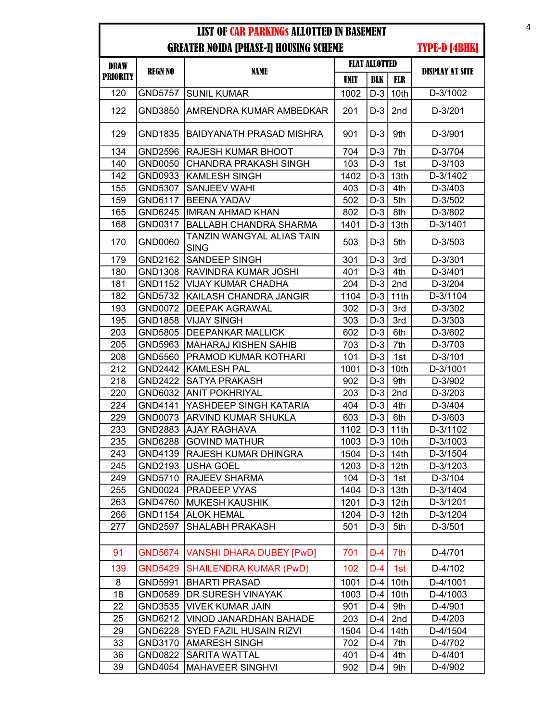| <b>DRAW</b>     |                | <b>FLAT ALLOTTED</b>                     |             |            |                  |                        |
|-----------------|----------------|------------------------------------------|-------------|------------|------------------|------------------------|
| <b>PRIORITY</b> | <b>REGN NO</b> | <b>NAME</b>                              | <b>UNIT</b> | <b>BLK</b> | <b>FLR</b>       | <b>DISPLAY AT SITE</b> |
| 120             | <b>GND5757</b> | <b>SUNIL KUMAR</b>                       | 1002        | $D-3$      | 10th             | D-3/1002               |
| 122             | GND3850        | AMRENDRA KUMAR AMBEDKAR                  | 201         | $D-3$      | 2nd              | D-3/201                |
| 129             | GND1835        | IBAIDYANATH PRASAD MISHRA                | 901         | $D-3$      | 9th              | D-3/901                |
| 134             | GND2596        | RAJESH KUMAR BHOOT                       | 704         | $D-3$      | 7th              | D-3/704                |
| 140             | GND0050        | <b>CHANDRA PRAKASH SINGH</b>             | 103         | $D-3$      | 1st              | D-3/103                |
| 142             | GND0933        | <b>KAMLESH SINGH</b>                     | 1402        | $D-3$      | 13th             | D-3/1402               |
| 155             | GND5307        | <b>SANJEEV WAHI</b>                      | 403         | $D-3$      | 4th              | D-3/403                |
| 159             | GND6117        | <b>BEENA YADAV</b>                       | 502         | $D-3$      | 5th              | D-3/502                |
| 165             | GND6245        | <b>IMRAN AHMAD KHAN</b>                  | 802         | $D-3$      | 8th              | D-3/802                |
| 168             | GND0317        | <b>BALLABH CHANDRA SHARMA</b>            | 1401        | $D-3$      | 13th             | D-3/1401               |
| 170             | GND0060        | TANZIN WANGYAL ALIAS TAIN<br><b>SING</b> | 503         | $D-3$      | 5th              | D-3/503                |
| 179             | GND2162        | <b>SANDEEP SINGH</b>                     | 301         | $D-3$      | 3rd              | D-3/301                |
| 180             | GND1308        | İRAVINDRA KUMAR JOSHI                    | 401         | $D-3$      | 4th              | $D-3/401$              |
| 181             | GND1152        | VIJAY KUMAR CHADHA                       | 204         | $D-3$      | 2nd              | D-3/204                |
| 182             | GND5732        | KAILASH CHANDRA JANGIR                   | 1104        | $D-3$      | 11th             | D-3/1104               |
| 193             | GND0072        | <b>DEEPAK AGRAWAL</b>                    | 302         | $D-3$      | 3rd              | D-3/302                |
| 195             | GND1858        | <b>VIJAY SINGH</b>                       | 303         | $D-3$      | 3rd              | D-3/303                |
| 203             | GND5805        | <b>DEEPANKAR MALLICK</b>                 | 602         | $D-3$      | 6th              | D-3/602                |
| 205             | GND5963        | MAHARAJ KISHEN SAHIB                     | 703         | $D-3$      | 7th              | D-3/703                |
| 208             | GND5560        | <b>PRAMOD KUMAR KOTHARI</b>              | 101         | $D-3$      | 1st              | D-3/101                |
| 212             | GND2442        | <b>KAMLESH PAL</b>                       | 1001        | $D-3$      | 10th             | D-3/1001               |
| 218             | <b>GND2422</b> | <b>SATYA PRAKASH</b>                     | 902         | $D-3$      | 9th              | D-3/902                |
| 220             | GND6032        | <b>ANIT POKHRIYAL</b>                    | 203         | $D-3$      | 2nd              | $D-3/203$              |
| 224             | GND4141        | YASHDEEP SINGH KATARIA                   | 404         | $D-3$      | 4th              | D-3/404                |
| 229             | GND0073        | <b>ARVIND KUMAR SHUKLA</b>               | 603         | $D-3$      | 6th              | D-3/603                |
| 233             | GND2883        | <b>AJAY RAGHAVA</b>                      | 1102        | $D-3$      | 11th             | D-3/1102               |
| 235             | GND6288        | <b>GOVIND MATHUR</b>                     | 1003        | $D-3$      | 10th             | D-3/1003               |
| 243             | GND4139        | RAJESH KUMAR DHINGRA                     | 1504        | $D-3$      | 14th             | D-3/1504               |
| 245             | GND2193        | USHA GOEL                                | 1203        |            | $D-3$ 12th       | D-3/1203               |
| 249             | GND5710        | <b>RAJEEV SHARMA</b>                     | 104         | $D-3$      | 1st              | D-3/104                |
| 255             | GND0024        | <b>PRADEEP VYAS</b>                      | 1404        | $D-3$      | 13 <sub>th</sub> | D-3/1404               |
| 263             | GND4760        | MUKESH KAUSHIK                           | 1201        | $D-3$      | 12th             | D-3/1201               |
| 266             | GND1154        | <b>ALOK HEMAL</b>                        | 1204        | $D-3$      | 12 <sub>th</sub> | D-3/1204               |
| 277             | <b>GND2597</b> | SHALABH PRAKASH                          | 501         | $D-3$      | 5th              | D-3/501                |
|                 |                |                                          |             |            |                  |                        |
| 91              | <b>GND5674</b> | <b>VANSHI DHARA DUBEY [PwD]</b>          | 701         | $D-4$      | 7th              | D-4/701                |
| 139             | <b>GND5429</b> | <b>SHAILENDRA KUMAR (PwD)</b>            | 102         | D-4        | 1st              | D-4/102                |
| 8               | GND5991        | <b>BHARTI PRASAD</b>                     | 1001        | D-4        | 10th             | D-4/1001               |
| 18              | GND0589        | DR SURESH VINAYAK                        | 1003        | $D-4$      | 10th             | D-4/1003               |
| 22              | GND3535        | <b>VIVEK KUMAR JAIN</b>                  | 901         | $D-4$      | 9th              | D-4/901                |
| 25              | GND6212        | VINOD JANARDHAN BAHADE                   | 203         | D-4        | 2nd              | $D-4/203$              |
| 29              | GND6228        | SYED FAZIL HUSAIN RIZVI                  | 1504        | $D-4$      | 14th             | D-4/1504               |
| 33              | GND3170        | <b>AMARESH SINGH</b>                     | 702         | $D-4$      | 7th              | D-4/702                |
| 36              | GND0822        | <b>SARITA WATTAL</b>                     | 401         | D-4        | 4th              | $D-4/401$              |
| 39              | GND4054        | <b>MAHAVEER SINGHVI</b>                  | 902         | D-4        | 9th              | D-4/902                |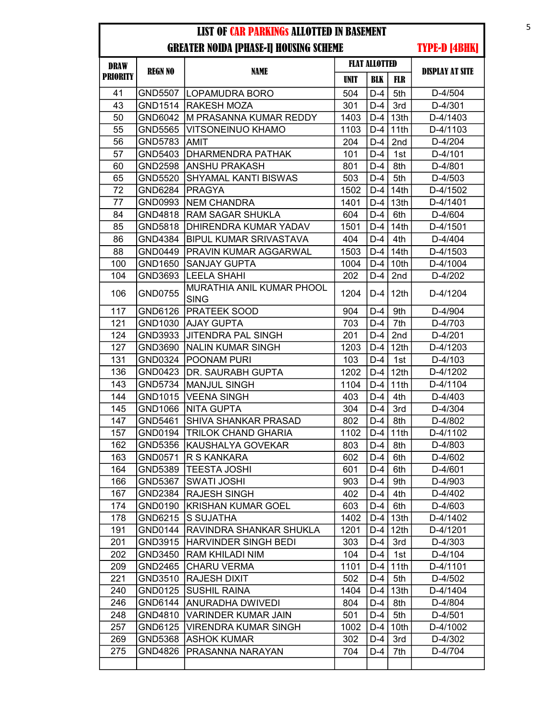| <b>DRAW</b>     |                | <b>FLAT ALLOTTED</b>                     |             |            |                  |                        |
|-----------------|----------------|------------------------------------------|-------------|------------|------------------|------------------------|
| <b>PRIORITY</b> | <b>REGN NO</b> | <b>NAME</b>                              | <b>UNIT</b> | <b>BLK</b> | FLR              | <b>DISPLAY AT SITE</b> |
| 41              | <b>GND5507</b> | <b>ILOPAMUDRA BORO</b>                   | 504         | $D-4$      | 5th              | D-4/504                |
| 43              | GND1514        | <b>RAKESH MOZA</b>                       | 301         | $D-4$      | 3rd              | D-4/301                |
| 50              | GND6042        | M PRASANNA KUMAR REDDY                   | 1403        | D-4        | 13th             | D-4/1403               |
| 55              | GND5565        | VITSONEINUO KHAMO                        | 1103        | $D-4$      | 11th             | D-4/1103               |
| 56              | GND5783        | AMIT                                     | 204         | $D-4$      | 2nd              | D-4/204                |
| 57              | GND5403        | DHARMENDRA PATHAK                        | 101         | $D-4$      | 1st              | $D-4/101$              |
| 60              | GND2598        | <b>ANSHU PRAKASH</b>                     | 801         | $D-4$      | 8th              | D-4/801                |
| 65              | GND5520        | <b>SHYAMAL KANTI BISWAS</b>              | 503         | $D-4$      | 5th              | D-4/503                |
| 72              | GND6284        | <b>PRAGYA</b>                            | 1502        | $D-4$      | 14th             | D-4/1502               |
| 77              | GND0993        | <b>NEM CHANDRA</b>                       | 1401        | $D-4$      | 13th             | D-4/1401               |
| 84              | GND4818        | <b>RAM SAGAR SHUKLA</b>                  | 604         | $D-4$      | 6th              | D-4/604                |
| 85              | GND5818        | DHIRENDRA KUMAR YADAV                    | 1501        | D-4        | 14 <sub>th</sub> | D-4/1501               |
| 86              | GND4384        | <b>BIPUL KUMAR SRIVASTAVA</b>            | 404         | D-4        | 4th              | D-4/404                |
| 88              | GND0449        | PRAVIN KUMAR AGGARWAL                    | 1503        | $D-4$      | 14th             | D-4/1503               |
| 100             | GND1650        | <b>SANJAY GUPTA</b>                      | 1004        | $D-4$      | 10th             | D-4/1004               |
| 104             | GND3693        | <b>LEELA SHAHI</b>                       | 202         | D-4        | 2nd              | D-4/202                |
| 106             | GND0755        | MURATHIA ANIL KUMAR PHOOL<br><b>SING</b> | 1204        | $D-4$      | 12th             | D-4/1204               |
| 117             | GND6126        | PRATEEK SOOD                             | 904         | $D-4$      | 9th              | D-4/904                |
| 121             | GND1030        | <b>AJAY GUPTA</b>                        | 703         | $D-4$      | 7th              | D-4/703                |
| 124             | GND3933        | <b>JITENDRA PAL SINGH</b>                | 201         | $D-4$      | 2nd              | $D-4/201$              |
| 127             | GND3690        | <b>NALIN KUMAR SINGH</b>                 | 1203        | $D-4$      | 12th             | D-4/1203               |
| 131             | GND0324        | POONAM PURI                              | 103         | $D-4$      | 1st              | D-4/103                |
| 136             | GND0423        | DR. SAURABH GUPTA                        | 1202        | $D-4$      | 12th             | D-4/1202               |
| 143             | GND5734        | <b>MANJUL SINGH</b>                      | 1104        | $D-4$      | 11th             | D-4/1104               |
| 144             | GND1015        | <b>VEENA SINGH</b>                       | 403         | $D-4$      | 4th              | D-4/403                |
| 145             | GND1066        | <b>NITA GUPTA</b>                        | 304         | $D-4$      | 3rd              | D-4/304                |
| 147             | GND5461        | <b>SHIVA SHANKAR PRASAD</b>              | 802         | $D-4$      | 8th              | D-4/802                |
| 157             | GND0194        | <b>TRILOK CHAND GHARIA</b>               | 1102        | $D-4$      | 11th             | D-4/1102               |
| 162             | GND5356        | KAUSHALYA GOVEKAR                        | 803         | $D-4$      | 8th              | D-4/803                |
| 163             | GND0571        | R S KANKARA                              | 602         | D-4        | 6th              | D-4/602                |
| 164             | GND5389        | <b>TEESTA JOSHI</b>                      | 601         | D-4        | 6th              | D-4/601                |
| 166             | GND5367        | <b>SWATI JOSHI</b>                       | 903         | $D-4$      | 9th              | D-4/903                |
| 167             | GND2384        | <b>RAJESH SINGH</b>                      | 402         | D-4        | 4th              | D-4/402                |
| 174             | GND0190        | <b>KRISHAN KUMAR GOEL</b>                | 603         | $D-4$      | 6th              | D-4/603                |
| 178             | GND6215        | <b>S SUJATHA</b>                         | 1402        | D-4        | 13th             | D-4/1402               |
| 191             | GND0144        | RAVINDRA SHANKAR SHUKLA                  | 1201        | $D-4$      | 12 <sub>th</sub> | D-4/1201               |
| 201             | GND3915        | <b>HARVINDER SINGH BEDI</b>              | 303         | $D-4$      | 3rd              | D-4/303                |
| 202             | GND3450        | RAM KHILADI NIM                          | 104         | D-4        | 1st              | D-4/104                |
| 209             | GND2465        | <b>CHARU VERMA</b>                       | 1101        | $D-4$      | 11th             | D-4/1101               |
| 221             | GND3510        | <b>RAJESH DIXIT</b>                      | 502         | $D-4$      | 5th              | D-4/502                |
| 240             | GND0125        | <b>SUSHIL RAINA</b>                      | 1404        | $D-4$      | 13th             | D-4/1404               |
| 246             | GND6144        | ANURADHA DWIVEDI                         | 804         | $D-4$      | 8th              | D-4/804                |
| 248             | GND4810        | <b>VARINDER KUMAR JAIN</b>               | 501         | $D-4$      | 5th              | D-4/501                |
| 257             | GND6125        | <b>VIRENDRA KUMAR SINGH</b>              | 1002        | $D-4$      | 10th             | D-4/1002               |
| 269             | GND5368        | <b>ASHOK KUMAR</b>                       | 302         | $D-4$      | 3rd              | D-4/302                |
| 275             | GND4826        | PRASANNA NARAYAN                         | 704         | $D-4$      | 7th              | D-4/704                |
|                 |                |                                          |             |            |                  |                        |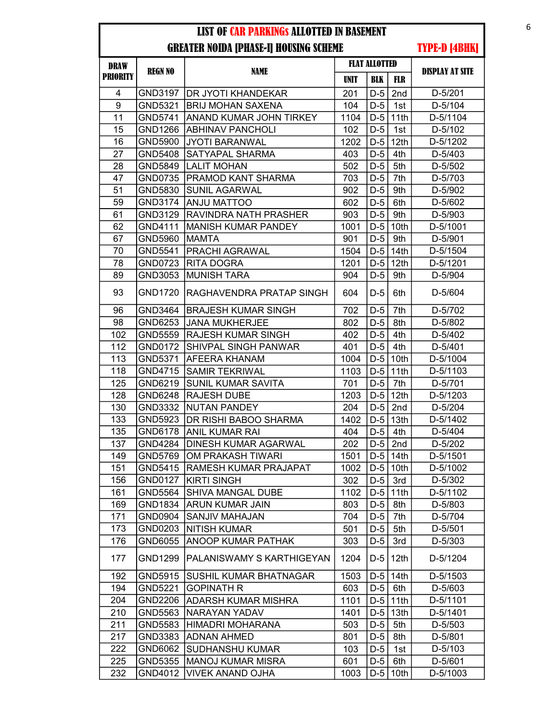| <b>DRAW</b>     | <b>REGN NO</b> | <b>NAME</b>                  |             | <b>FLAT ALLOTTED</b> |                  | <b>DISPLAY AT SITE</b> |
|-----------------|----------------|------------------------------|-------------|----------------------|------------------|------------------------|
| <b>PRIORITY</b> |                |                              | <b>UNIT</b> | <b>BLK</b>           | <b>FLR</b>       |                        |
| $\overline{4}$  | GND3197        | <b>DR JYOTI KHANDEKAR</b>    | 201         | $D-5$                | 2nd              | D-5/201                |
| 9               | GND5321        | <b>BRIJ MOHAN SAXENA</b>     | 104         | $D-5$                | 1st              | D-5/104                |
| 11              | GND5741        | ANAND KUMAR JOHN TIRKEY      | 1104        | $D-5$                | 11th             | D-5/1104               |
| 15              | GND1266        | <b>ABHINAV PANCHOLI</b>      | 102         | $D-5$                | 1st              | D-5/102                |
| 16              | GND5900        | JYOTI BARANWAL               | 1202        | $D-5$                | 12th             | D-5/1202               |
| 27              | GND5408        | SATYAPAL SHARMA              | 403         | $D-5$                | 4th              | D-5/403                |
| 28              | GND5849        | <b>LALIT MOHAN</b>           | 502         | $D-5$                | 5th              | D-5/502                |
| 47              | GND0735        | PRAMOD KANT SHARMA           | 703         | $D-5$                | 7th              | D-5/703                |
| 51              | GND5830        | <b>SUNIL AGARWAL</b>         | 902         | $D-5$                | 9th              | D-5/902                |
| 59              | GND3174        | <b>ANJU MATTOO</b>           | 602         | $D-5$                | 6th              | D-5/602                |
| 61              | GND3129        | RAVINDRA NATH PRASHER        | 903         | $D-5$                | 9th              | D-5/903                |
| 62              | GND4111        | <b>MANISH KUMAR PANDEY</b>   | 1001        | $D-5$                | 10th             | D-5/1001               |
| 67              | GND5960        | <b>MAMTA</b>                 | 901         | $D-5$                | 9th              | D-5/901                |
| 70              | GND5541        | PRACHI AGRAWAL               | 1504        | $D-5$                | 14th             | D-5/1504               |
| 78              | GND0723        | <b>RITA DOGRA</b>            | 1201        | $D-5$                | 12th             | D-5/1201               |
| 89              | GND3053        | <b>MUNISH TARA</b>           | 904         | $D-5$                | 9th              | D-5/904                |
| 93              | GND1720        | RAGHAVENDRA PRATAP SINGH     | 604         | $D-5$                | 6th              | D-5/604                |
| 96              | GND3464        | <b>BRAJESH KUMAR SINGH</b>   | 702         | $D-5$                | 7th              | D-5/702                |
| 98              | GND6253        | <b>JANA MUKHERJEE</b>        | 802         | $D-5$                | 8th              | D-5/802                |
| 102             | GND5559        | RAJESH KUMAR SINGH           | 402         | $D-5$                | 4th              | D-5/402                |
| 112             | GND0172        | <b>SHIVPAL SINGH PANWAR</b>  | 401         | $D-5$                | 4th              | D-5/401                |
| 113             | GND5371        | <b>AFEERA KHANAM</b>         | 1004        | $D-5$                | 10th             | D-5/1004               |
| 118             | GND4715        | <b>SAMIR TEKRIWAL</b>        | 1103        | $D-5$                | 11th             | D-5/1103               |
| 125             | GND6219        | <b>SUNIL KUMAR SAVITA</b>    | 701         | $D-5$                | 7th              | D-5/701                |
| 128             | GND6248        | <b>RAJESH DUBE</b>           | 1203        | $D-5$                | 12th             | D-5/1203               |
| 130             | GND3332        | <b>NUTAN PANDEY</b>          | 204         | $D-5$                | 2nd              | D-5/204                |
| 133             | GND5923        | DR RISHI BABOO SHARMA        | 1402        | $D-5$                | 13th             | D-5/1402               |
| 135             | GND6178        | <b>ANIL KUMAR RAI</b>        | 404         | $D-5$                | 4th              | D-5/404                |
| 137             | GND4284        | DINESH KUMAR AGARWAL         | 202         | $D-5$                | 2nd              | D-5/202                |
| 149             | GND5769        | <b>OM PRAKASH TIWARI</b>     | 1501        | $D-5$                | 14th             | D-5/1501               |
| 151             | GND5415        | <b>RAMESH KUMAR PRAJAPAT</b> | 1002        |                      | $D-5$ 10th       | D-5/1002               |
| 156             | GND0127        | <b>KIRTI SINGH</b>           | 302         | $D-5$                | 3rd              | D-5/302                |
| 161             | GND5564        | SHIVA MANGAL DUBE            | 1102        | $D-5$                | 11th             | D-5/1102               |
| 169             | GND1834        | <b>ARUN KUMAR JAIN</b>       | 803         | $D-5$                | 8th              | D-5/803                |
| 171             | GND0904        | SANJIV MAHAJAN               | 704         | $D-5$                | 7th              | D-5/704                |
| 173             | GND0203        | <b>NITISH KUMAR</b>          | 501         | $D-5$                | 5th              | D-5/501                |
| 176             | GND6055        | ANOOP KUMAR PATHAK           | 303         | $D-5$                | 3rd              | D-5/303                |
| 177             | GND1299        | PALANISWAMY S KARTHIGEYAN    | 1204        | D-5                  | 12 <sub>th</sub> | D-5/1204               |
| 192             | GND5915        | SUSHIL KUMAR BHATNAGAR       | 1503        | $D-5$                | 14 <sub>th</sub> | D-5/1503               |
| 194             | GND5221        | <b>GOPINATH R</b>            | 603         | $D-5$                | 6th              | D-5/603                |
| 204             | GND2206        | <b>ADARSH KUMAR MISHRA</b>   | 1101        | $D-5$                | 11th             | D-5/1101               |
| 210             | GND5563        | NARAYAN YADAV                | 1401        | $D-5$                | 13th             | D-5/1401               |
| 211             | GND5583        | HIMADRI MOHARANA             | 503         | $D-5$                | 5th              | D-5/503                |
| 217             | GND3383        | <b>ADNAN AHMED</b>           | 801         | $D-5$                | 8th              | D-5/801                |
| 222             | GND6062        | <b>SUDHANSHU KUMAR</b>       | 103         | $D-5$                | 1st              | D-5/103                |
| 225             | GND5355        | <b>MANOJ KUMAR MISRA</b>     | 601         | $D-5$                | 6th              | D-5/601                |
| 232             | GND4012        | VIVEK ANAND OJHA             | 1003        | $D-5$                | 10th             | D-5/1003               |